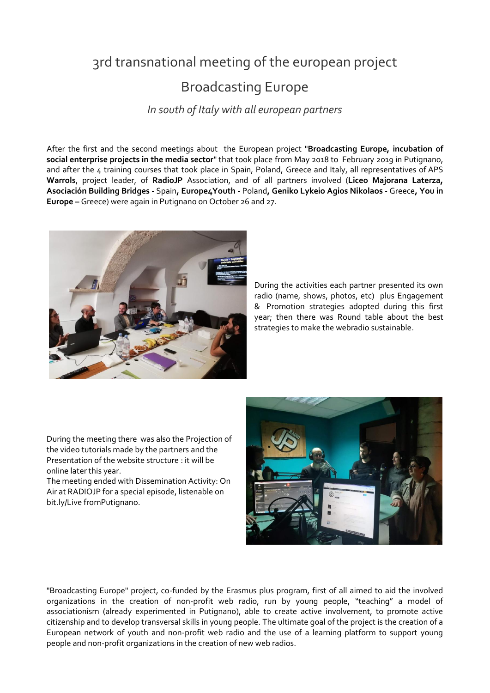## 3rd transnational meeting of the european [project](https://context.reverso.net/traduzione/inglese-italiano/projects)

## Broadcasting Europe

*In south of Italy with all european partners*

After the first and the second meetings about the European project "**Broadcasting Europe, incubation of social enterprise projects in the media sector**" that took place from May 2018 to February 2019 in Putignano, and after the 4 training courses that took place in Spain, Poland, Greece and Italy, all [representatives of](https://context.reverso.net/traduzione/inglese-italiano/representative+of+the+Commission) APS **Warrols**, project leader, of **RadioJP** Association, and of all partners involved (**Liceo Majorana Laterza, Asociación Building Bridges -** Spain**, Europe4Youth -** Poland**, Geniko Lykeio Agios Nikolaos -** Greece**, You in Europe –** Greece) were again in Putignano on October 26 and 27.



During the activities each partner presented its own radio (name, shows, photos, etc) plus [Engagement](https://context.reverso.net/traduzione/inglese-italiano/Engagement+%26)  [&](https://context.reverso.net/traduzione/inglese-italiano/Engagement+%26) Promotion strategies adopted during this first year; then there was Round table about the best strategies to make the webradio sustainable.

During the meeting there was also the Projection of the video tutorials made by the partners and the Presentation of the website structure : it will be online later this year.

The meeting ended with Dissemination Activity: On Air at RADIOJP for a special episode, listenable on bit.ly/Live fromPutignano.



"Broadcasting Europe" project, co-funded by the Erasmus plus program, first of all aimed to aid the involved organizations in the creation of non-profit web radio, run by young people, "teaching" a model of [associationism](https://context.reverso.net/traduzione/inglese-italiano/associationism) (already experimented in Putignano), able to create active involvement, to promote active citizenship and to develop transversal skills in young people. The ultimate goal of the project is the creation of a European network of youth and non-profit web radio and the use of a learning platform to support young people and non-profit organizations in the creation of new web radios.